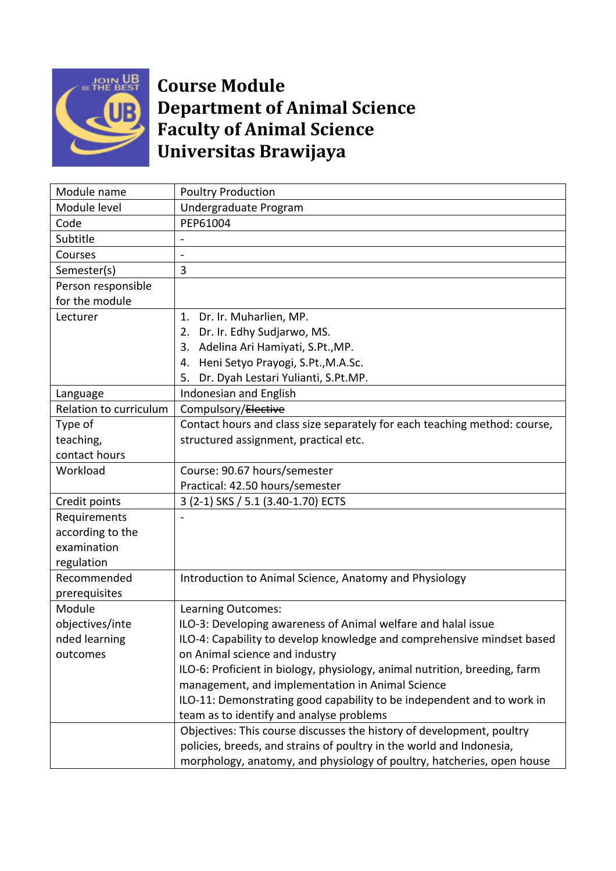

## **Course Module Department of Animal Science Faculty of Animal Science Universitas Brawijaya**

| Module name            | <b>Poultry Production</b>                                                  |  |
|------------------------|----------------------------------------------------------------------------|--|
| Module level           | Undergraduate Program                                                      |  |
| Code                   | PEP61004                                                                   |  |
| Subtitle               |                                                                            |  |
| Courses                |                                                                            |  |
| Semester(s)            | 3                                                                          |  |
| Person responsible     |                                                                            |  |
| for the module         |                                                                            |  |
| Lecturer               | 1. Dr. Ir. Muharlien, MP.                                                  |  |
|                        | 2. Dr. Ir. Edhy Sudjarwo, MS.                                              |  |
|                        | 3. Adelina Ari Hamiyati, S.Pt., MP.                                        |  |
|                        | 4. Heni Setyo Prayogi, S.Pt., M.A.Sc.                                      |  |
|                        | Dr. Dyah Lestari Yulianti, S.Pt.MP.<br>5.                                  |  |
| Language               | Indonesian and English                                                     |  |
| Relation to curriculum | Compulsory/Elective                                                        |  |
| Type of                | Contact hours and class size separately for each teaching method: course,  |  |
| teaching,              | structured assignment, practical etc.                                      |  |
| contact hours          |                                                                            |  |
| Workload               | Course: 90.67 hours/semester                                               |  |
|                        | Practical: 42.50 hours/semester                                            |  |
| Credit points          | 3 (2-1) SKS / 5.1 (3.40-1.70) ECTS                                         |  |
| Requirements           |                                                                            |  |
| according to the       |                                                                            |  |
| examination            |                                                                            |  |
| regulation             |                                                                            |  |
| Recommended            | Introduction to Animal Science, Anatomy and Physiology                     |  |
| prerequisites          |                                                                            |  |
| Module                 | Learning Outcomes:                                                         |  |
| objectives/inte        | ILO-3: Developing awareness of Animal welfare and halal issue              |  |
| nded learning          | ILO-4: Capability to develop knowledge and comprehensive mindset based     |  |
| outcomes               | on Animal science and industry                                             |  |
|                        | ILO-6: Proficient in biology, physiology, animal nutrition, breeding, farm |  |
|                        | management, and implementation in Animal Science                           |  |
|                        | ILO-11: Demonstrating good capability to be independent and to work in     |  |
|                        | team as to identify and analyse problems                                   |  |
|                        | Objectives: This course discusses the history of development, poultry      |  |
|                        | policies, breeds, and strains of poultry in the world and Indonesia,       |  |
|                        | morphology, anatomy, and physiology of poultry, hatcheries, open house     |  |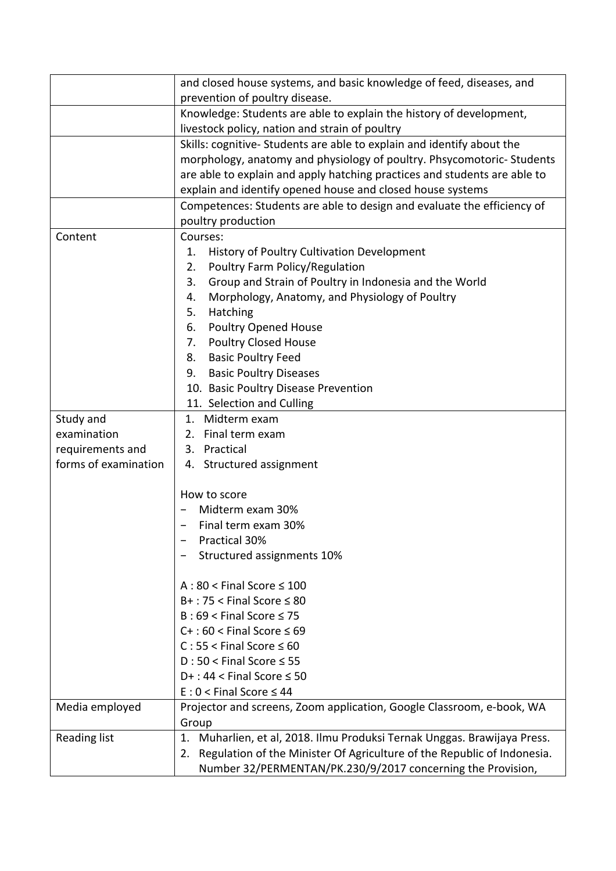|                      | and closed house systems, and basic knowledge of feed, diseases, and          |  |
|----------------------|-------------------------------------------------------------------------------|--|
|                      | prevention of poultry disease.                                                |  |
|                      | Knowledge: Students are able to explain the history of development,           |  |
|                      | livestock policy, nation and strain of poultry                                |  |
|                      | Skills: cognitive-Students are able to explain and identify about the         |  |
|                      | morphology, anatomy and physiology of poultry. Phsycomotoric-Students         |  |
|                      | are able to explain and apply hatching practices and students are able to     |  |
|                      | explain and identify opened house and closed house systems                    |  |
|                      | Competences: Students are able to design and evaluate the efficiency of       |  |
|                      | poultry production                                                            |  |
| Content              | Courses:                                                                      |  |
|                      | History of Poultry Cultivation Development<br>1.                              |  |
|                      | Poultry Farm Policy/Regulation<br>2.                                          |  |
|                      | Group and Strain of Poultry in Indonesia and the World<br>3.                  |  |
|                      | Morphology, Anatomy, and Physiology of Poultry<br>4.                          |  |
|                      | Hatching<br>5.                                                                |  |
|                      | Poultry Opened House<br>6.                                                    |  |
|                      | 7. Poultry Closed House                                                       |  |
|                      |                                                                               |  |
|                      | 8. Basic Poultry Feed                                                         |  |
|                      | <b>Basic Poultry Diseases</b><br>9.                                           |  |
|                      | 10. Basic Poultry Disease Prevention                                          |  |
|                      | 11. Selection and Culling                                                     |  |
| Study and            | 1. Midterm exam                                                               |  |
| examination          | Final term exam<br>2.                                                         |  |
| requirements and     | Practical<br>3.                                                               |  |
| forms of examination | 4. Structured assignment                                                      |  |
|                      |                                                                               |  |
|                      | How to score                                                                  |  |
|                      | Midterm exam 30%                                                              |  |
|                      | Final term exam 30%                                                           |  |
|                      | Practical 30%                                                                 |  |
|                      | Structured assignments 10%                                                    |  |
|                      |                                                                               |  |
|                      | $A:80 <$ Final Score $\leq 100$                                               |  |
|                      | $B+$ : 75 < Final Score $\leq 80$                                             |  |
|                      | $B:69 <$ Final Score $\leq 75$                                                |  |
|                      | $C+$ : 60 < Final Score $\leq 69$                                             |  |
|                      | $C: 55 <$ Final Score $\leq 60$                                               |  |
|                      | $D:50 <$ Final Score $\leq 55$                                                |  |
|                      | $D+$ : 44 < Final Score $\leq$ 50                                             |  |
|                      | $E: 0 <$ Final Score $\leq 44$                                                |  |
| Media employed       | Projector and screens, Zoom application, Google Classroom, e-book, WA         |  |
|                      | Group                                                                         |  |
| Reading list         | Muharlien, et al, 2018. Ilmu Produksi Ternak Unggas. Brawijaya Press.<br>1.   |  |
|                      | Regulation of the Minister Of Agriculture of the Republic of Indonesia.<br>2. |  |
|                      | Number 32/PERMENTAN/PK.230/9/2017 concerning the Provision,                   |  |